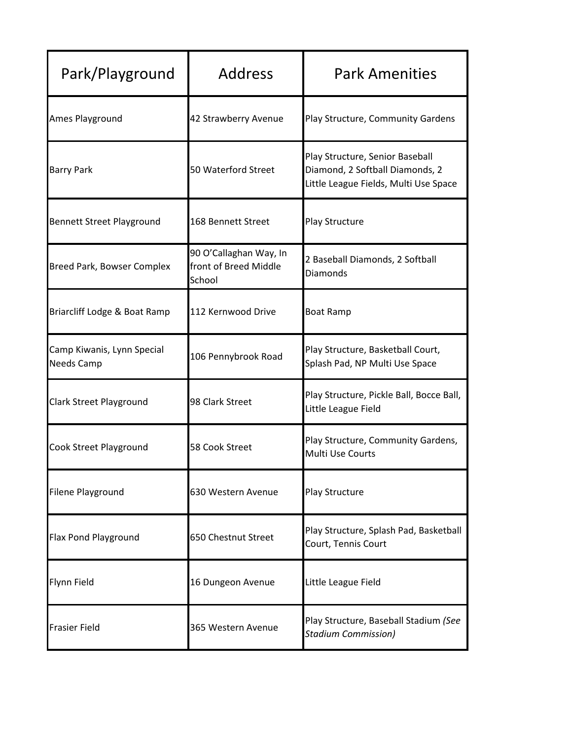| Park/Playground                                 | <b>Address</b>                                            | <b>Park Amenities</b>                                                                                       |
|-------------------------------------------------|-----------------------------------------------------------|-------------------------------------------------------------------------------------------------------------|
| Ames Playground                                 | 42 Strawberry Avenue                                      | Play Structure, Community Gardens                                                                           |
| <b>Barry Park</b>                               | 50 Waterford Street                                       | Play Structure, Senior Baseball<br>Diamond, 2 Softball Diamonds, 2<br>Little League Fields, Multi Use Space |
| <b>Bennett Street Playground</b>                | 168 Bennett Street                                        | Play Structure                                                                                              |
| <b>Breed Park, Bowser Complex</b>               | 90 O'Callaghan Way, In<br>front of Breed Middle<br>School | 2 Baseball Diamonds, 2 Softball<br>Diamonds                                                                 |
| Briarcliff Lodge & Boat Ramp                    | 112 Kernwood Drive                                        | <b>Boat Ramp</b>                                                                                            |
| Camp Kiwanis, Lynn Special<br><b>Needs Camp</b> | 106 Pennybrook Road                                       | Play Structure, Basketball Court,<br>Splash Pad, NP Multi Use Space                                         |
| <b>Clark Street Playground</b>                  | 98 Clark Street                                           | Play Structure, Pickle Ball, Bocce Ball,<br>Little League Field                                             |
| Cook Street Playground                          | 58 Cook Street                                            | Play Structure, Community Gardens,<br>Multi Use Courts                                                      |
| <b>Filene Playground</b>                        | 630 Western Avenue                                        | Play Structure                                                                                              |
| Flax Pond Playground                            | 650 Chestnut Street                                       | Play Structure, Splash Pad, Basketball<br>Court, Tennis Court                                               |
| Flynn Field                                     | 16 Dungeon Avenue                                         | Little League Field                                                                                         |
| <b>Frasier Field</b>                            | 365 Western Avenue                                        | Play Structure, Baseball Stadium (See<br><b>Stadium Commission)</b>                                         |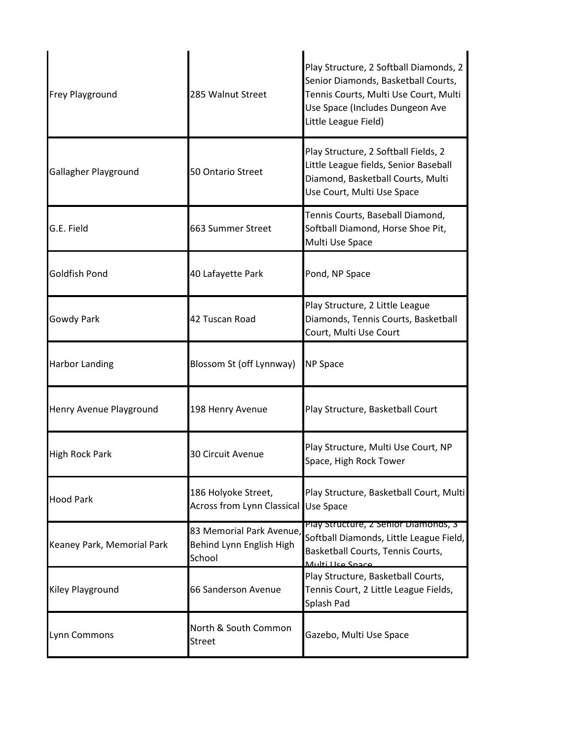| <b>Frey Playground</b>     | 285 Walnut Street                                              | Play Structure, 2 Softball Diamonds, 2<br>Senior Diamonds, Basketball Courts,<br>Tennis Courts, Multi Use Court, Multi<br>Use Space (Includes Dungeon Ave<br>Little League Field) |
|----------------------------|----------------------------------------------------------------|-----------------------------------------------------------------------------------------------------------------------------------------------------------------------------------|
| Gallagher Playground       | 50 Ontario Street                                              | Play Structure, 2 Softball Fields, 2<br>Little League fields, Senior Baseball<br>Diamond, Basketball Courts, Multi<br>Use Court, Multi Use Space                                  |
| G.E. Field                 | 663 Summer Street                                              | Tennis Courts, Baseball Diamond,<br>Softball Diamond, Horse Shoe Pit,<br>Multi Use Space                                                                                          |
| Goldfish Pond              | 40 Lafayette Park                                              | Pond, NP Space                                                                                                                                                                    |
| Gowdy Park                 | 42 Tuscan Road                                                 | Play Structure, 2 Little League<br>Diamonds, Tennis Courts, Basketball<br>Court, Multi Use Court                                                                                  |
| <b>Harbor Landing</b>      | Blossom St (off Lynnway)                                       | <b>NP Space</b>                                                                                                                                                                   |
| Henry Avenue Playground    | 198 Henry Avenue                                               | Play Structure, Basketball Court                                                                                                                                                  |
| High Rock Park             | 30 Circuit Avenue                                              | Play Structure, Multi Use Court, NP<br>Space, High Rock Tower                                                                                                                     |
| <b>Hood Park</b>           | 186 Holyoke Street,<br><b>Across from Lynn Classical</b>       | Play Structure, Basketball Court, Multi<br>Use Space                                                                                                                              |
| Keaney Park, Memorial Park | 83 Memorial Park Avenue,<br>Behind Lynn English High<br>School | Play Structure, 2 Senior Diamonds, 3<br>Softball Diamonds, Little League Field,<br>Basketball Courts, Tennis Courts,<br>Multi Llea Snaca                                          |
| Kiley Playground           | 66 Sanderson Avenue                                            | Play Structure, Basketball Courts,<br>Tennis Court, 2 Little League Fields,<br>Splash Pad                                                                                         |
| Lynn Commons               | North & South Common<br><b>Street</b>                          | Gazebo, Multi Use Space                                                                                                                                                           |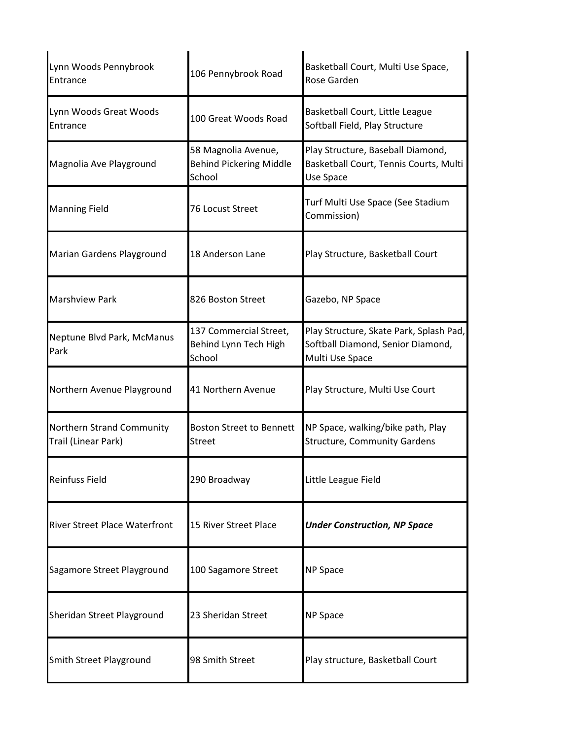| Lynn Woods Pennybrook<br>Entrance                | 106 Pennybrook Road                                             | Basketball Court, Multi Use Space,<br>Rose Garden                                               |
|--------------------------------------------------|-----------------------------------------------------------------|-------------------------------------------------------------------------------------------------|
| Lynn Woods Great Woods<br>Entrance               | 100 Great Woods Road                                            | Basketball Court, Little League<br>Softball Field, Play Structure                               |
| Magnolia Ave Playground                          | 58 Magnolia Avenue,<br><b>Behind Pickering Middle</b><br>School | Play Structure, Baseball Diamond,<br>Basketball Court, Tennis Courts, Multi<br>Use Space        |
| <b>Manning Field</b>                             | 76 Locust Street                                                | Turf Multi Use Space (See Stadium<br>Commission)                                                |
| Marian Gardens Playground                        | 18 Anderson Lane                                                | Play Structure, Basketball Court                                                                |
| <b>Marshview Park</b>                            | 826 Boston Street                                               | Gazebo, NP Space                                                                                |
| Neptune Blvd Park, McManus<br>Park               | 137 Commercial Street,<br>Behind Lynn Tech High<br>School       | Play Structure, Skate Park, Splash Pad,<br>Softball Diamond, Senior Diamond,<br>Multi Use Space |
| Northern Avenue Playground                       | 41 Northern Avenue                                              | Play Structure, Multi Use Court                                                                 |
| Northern Strand Community<br>Trail (Linear Park) | <b>Boston Street to Bennett</b><br><b>Street</b>                | NP Space, walking/bike path, Play<br><b>Structure, Community Gardens</b>                        |
| <b>Reinfuss Field</b>                            | 290 Broadway                                                    | Little League Field                                                                             |
| <b>River Street Place Waterfront</b>             | 15 River Street Place                                           | <b>Under Construction, NP Space</b>                                                             |
| Sagamore Street Playground                       | 100 Sagamore Street                                             | <b>NP Space</b>                                                                                 |
| Sheridan Street Playground                       | 23 Sheridan Street                                              | <b>NP Space</b>                                                                                 |
| Smith Street Playground                          | 98 Smith Street                                                 | Play structure, Basketball Court                                                                |